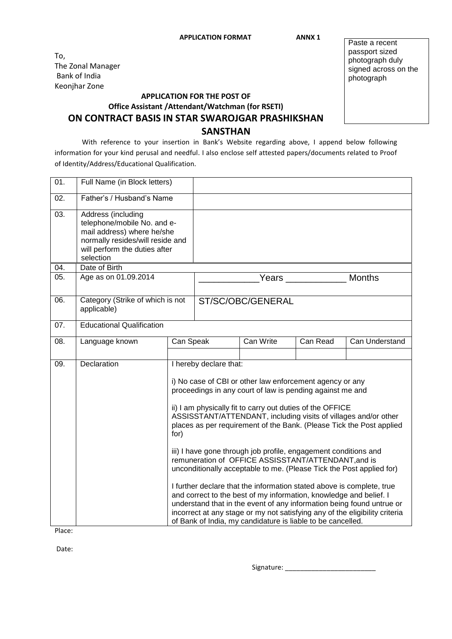To, The Zonal Manager Bank of India Keonjhar Zone

## **APPLICATION FOR THE POST OF Office Assistant /Attendant/Watchman (for RSETI)**

Paste a recent passport sized photograph duly signed across on the photograph

## **ON CONTRACT BASIS IN STAR SWAROJGAR PRASHIKSHAN**

## **SANSTHAN**

With reference to your insertion in Bank's Website regarding above, I append below following information for your kind perusal and needful. I also enclose self attested papers/documents related to Proof of Identity/Address/Educational Qualification.

| 01. | Full Name (in Block letters)                                                                                                                                      |                                                                                                                                                                                                                                                                                                                                                                                                                                                                                                                                                                                                                                                                                                                                                                                                                                                                                                                                         |                        |           |          |                |
|-----|-------------------------------------------------------------------------------------------------------------------------------------------------------------------|-----------------------------------------------------------------------------------------------------------------------------------------------------------------------------------------------------------------------------------------------------------------------------------------------------------------------------------------------------------------------------------------------------------------------------------------------------------------------------------------------------------------------------------------------------------------------------------------------------------------------------------------------------------------------------------------------------------------------------------------------------------------------------------------------------------------------------------------------------------------------------------------------------------------------------------------|------------------------|-----------|----------|----------------|
| 02. | Father's / Husband's Name                                                                                                                                         |                                                                                                                                                                                                                                                                                                                                                                                                                                                                                                                                                                                                                                                                                                                                                                                                                                                                                                                                         |                        |           |          |                |
| 03. | Address (including<br>telephone/mobile No. and e-<br>mail address) where he/she<br>normally resides/will reside and<br>will perform the duties after<br>selection |                                                                                                                                                                                                                                                                                                                                                                                                                                                                                                                                                                                                                                                                                                                                                                                                                                                                                                                                         |                        |           |          |                |
| 04. | Date of Birth                                                                                                                                                     |                                                                                                                                                                                                                                                                                                                                                                                                                                                                                                                                                                                                                                                                                                                                                                                                                                                                                                                                         |                        |           |          |                |
| 05. | Age as on 01.09.2014                                                                                                                                              |                                                                                                                                                                                                                                                                                                                                                                                                                                                                                                                                                                                                                                                                                                                                                                                                                                                                                                                                         | <b>Months</b><br>Years |           |          |                |
| 06. | Category (Strike of which is not<br>applicable)                                                                                                                   |                                                                                                                                                                                                                                                                                                                                                                                                                                                                                                                                                                                                                                                                                                                                                                                                                                                                                                                                         | ST/SC/OBC/GENERAL      |           |          |                |
| 07. | <b>Educational Qualification</b>                                                                                                                                  |                                                                                                                                                                                                                                                                                                                                                                                                                                                                                                                                                                                                                                                                                                                                                                                                                                                                                                                                         |                        |           |          |                |
| 08. | Language known                                                                                                                                                    | Can Speak                                                                                                                                                                                                                                                                                                                                                                                                                                                                                                                                                                                                                                                                                                                                                                                                                                                                                                                               |                        | Can Write | Can Read | Can Understand |
|     |                                                                                                                                                                   |                                                                                                                                                                                                                                                                                                                                                                                                                                                                                                                                                                                                                                                                                                                                                                                                                                                                                                                                         |                        |           |          |                |
| 09. | Declaration                                                                                                                                                       | I hereby declare that:<br>i) No case of CBI or other law enforcement agency or any<br>proceedings in any court of law is pending against me and<br>ii) I am physically fit to carry out duties of the OFFICE<br>ASSISSTANT/ATTENDANT, including visits of villages and/or other<br>places as per requirement of the Bank. (Please Tick the Post applied<br>for)<br>iii) I have gone through job profile, engagement conditions and<br>remuneration of OFFICE ASSISSTANT/ATTENDANT, and is<br>unconditionally acceptable to me. (Please Tick the Post applied for)<br>I further declare that the information stated above is complete, true<br>and correct to the best of my information, knowledge and belief. I<br>understand that in the event of any information being found untrue or<br>incorrect at any stage or my not satisfying any of the eligibility criteria<br>of Bank of India, my candidature is liable to be cancelled. |                        |           |          |                |

Place:

Date:

Signature: \_\_\_\_\_\_\_\_\_\_\_\_\_\_\_\_\_\_\_\_\_\_\_\_